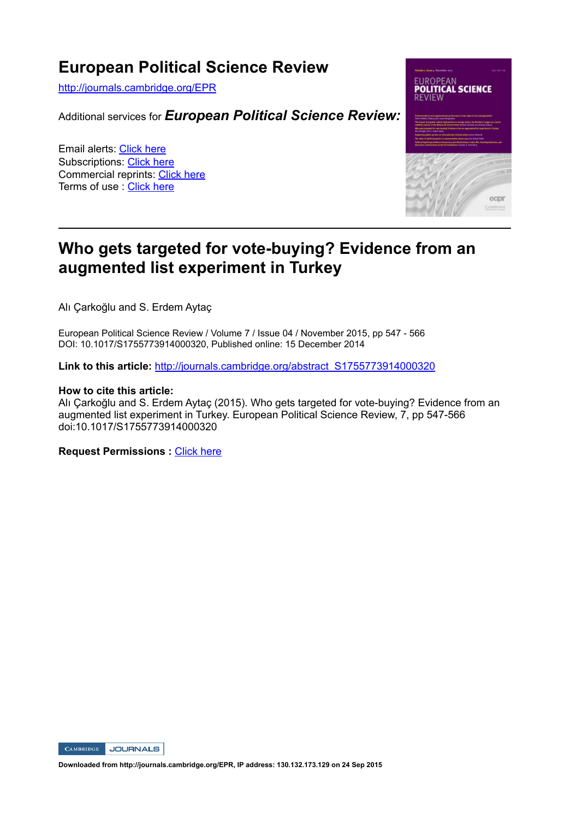## **European Political Science Review**

http://journals.cambridge.org/EPR

Additional services for *European Political Science Review:*

Email alerts: Click here Subscriptions: Click here Commercial reprints: Click here Terms of use : Click here



## **Who gets targeted for vote-buying? Evidence from an augmented list experiment in Turkey**

Alı Çarkoğlu and S. Erdem Aytaç

European Political Science Review / Volume 7 / Issue 04 / November 2015, pp 547 - 566 DOI: 10.1017/S1755773914000320, Published online: 15 December 2014

**Link to this article:** http://journals.cambridge.org/abstract\_S1755773914000320

#### **How to cite this article:**

Alı Çarkoğlu and S. Erdem Aytaç (2015). Who gets targeted for vote-buying? Evidence from an augmented list experiment in Turkey. European Political Science Review, 7, pp 547-566 doi:10.1017/S1755773914000320

**Request Permissions :** Click here

**CAMBRIDGE JOURNALS**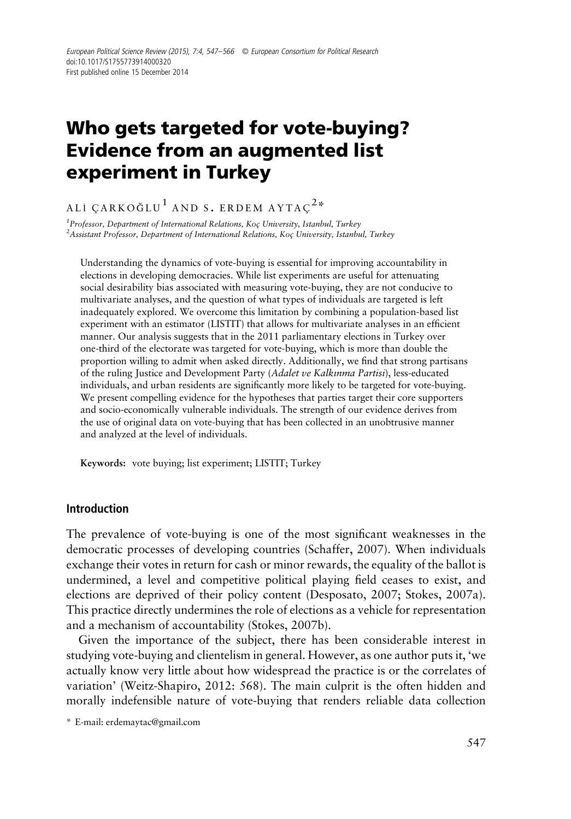# Who gets targeted for vote-buying? Evidence from an augmented list experiment in Turkey

### ALI ÇARKOĞLU $^{\rm 1}$  AND S. ERDEM AYTAÇ $^{\rm 2\ast}$

<sup>1</sup>Professor, Department of International Relations, Koç University, Istanbul, Turkey  $^2$ Assistant Professor, Department of International Relations, Koç University, Istanbul, Turkey

Understanding the dynamics of vote-buying is essential for improving accountability in elections in developing democracies. While list experiments are useful for attenuating social desirability bias associated with measuring vote-buying, they are not conducive to multivariate analyses, and the question of what types of individuals are targeted is left inadequately explored. We overcome this limitation by combining a population-based list experiment with an estimator (LISTIT) that allows for multivariate analyses in an efficient manner. Our analysis suggests that in the 2011 parliamentary elections in Turkey over one-third of the electorate was targeted for vote-buying, which is more than double the proportion willing to admit when asked directly. Additionally, we find that strong partisans of the ruling Justice and Development Party (Adalet ve Kalkınma Partisi), less-educated individuals, and urban residents are significantly more likely to be targeted for vote-buying. We present compelling evidence for the hypotheses that parties target their core supporters and socio-economically vulnerable individuals. The strength of our evidence derives from the use of original data on vote-buying that has been collected in an unobtrusive manner and analyzed at the level of individuals.

Keywords: vote buying; list experiment; LISTIT; Turkey

#### Introduction

The prevalence of vote-buying is one of the most significant weaknesses in the democratic processes of developing countries (Schaffer, 2007). When individuals exchange their votes in return for cash or minor rewards, the equality of the ballot is undermined, a level and competitive political playing field ceases to exist, and elections are deprived of their policy content (Desposato, 2007; Stokes, 2007a). This practice directly undermines the role of elections as a vehicle for representation and a mechanism of accountability (Stokes, 2007b).

Given the importance of the subject, there has been considerable interest in studying vote-buying and clientelism in general. However, as one author puts it, 'we actually know very little about how widespread the practice is or the correlates of variation' (Weitz-Shapiro, 2012: 568). The main culprit is the often hidden and morally indefensible nature of vote-buying that renders reliable data collection

\* E-mail: erdemaytac@gmail.com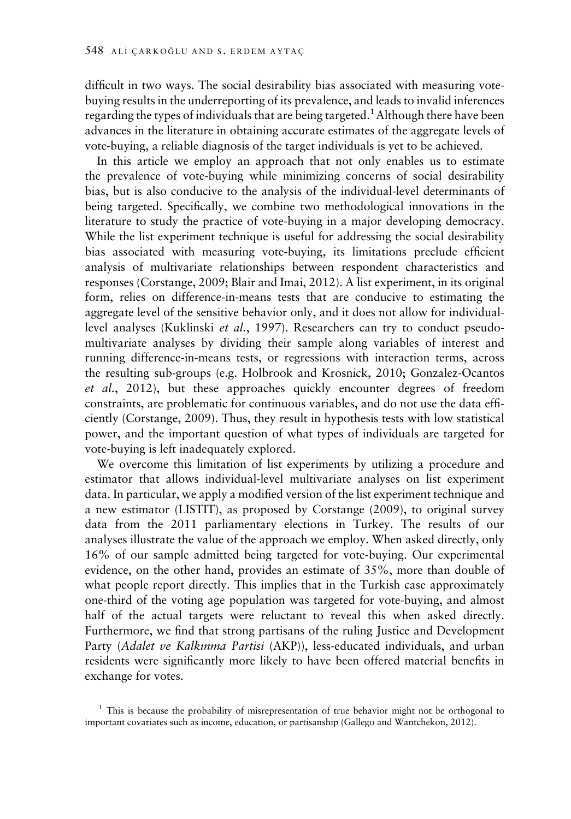difficult in two ways. The social desirability bias associated with measuring votebuying results in the underreporting of its prevalence, and leads to invalid inferences regarding the types of individuals that are being targeted.<sup>1</sup> Although there have been advances in the literature in obtaining accurate estimates of the aggregate levels of vote-buying, a reliable diagnosis of the target individuals is yet to be achieved.

In this article we employ an approach that not only enables us to estimate the prevalence of vote-buying while minimizing concerns of social desirability bias, but is also conducive to the analysis of the individual-level determinants of being targeted. Specifically, we combine two methodological innovations in the literature to study the practice of vote-buying in a major developing democracy. While the list experiment technique is useful for addressing the social desirability bias associated with measuring vote-buying, its limitations preclude efficient analysis of multivariate relationships between respondent characteristics and responses (Corstange, 2009; Blair and Imai, 2012). A list experiment, in its original form, relies on difference-in-means tests that are conducive to estimating the aggregate level of the sensitive behavior only, and it does not allow for individuallevel analyses (Kuklinski et al., 1997). Researchers can try to conduct pseudomultivariate analyses by dividing their sample along variables of interest and running difference-in-means tests, or regressions with interaction terms, across the resulting sub-groups (e.g. Holbrook and Krosnick, 2010; Gonzalez-Ocantos et al., 2012), but these approaches quickly encounter degrees of freedom constraints, are problematic for continuous variables, and do not use the data efficiently (Corstange, 2009). Thus, they result in hypothesis tests with low statistical power, and the important question of what types of individuals are targeted for vote-buying is left inadequately explored.

We overcome this limitation of list experiments by utilizing a procedure and estimator that allows individual-level multivariate analyses on list experiment data. In particular, we apply a modified version of the list experiment technique and a new estimator (LISTIT), as proposed by Corstange (2009), to original survey data from the 2011 parliamentary elections in Turkey. The results of our analyses illustrate the value of the approach we employ. When asked directly, only 16% of our sample admitted being targeted for vote-buying. Our experimental evidence, on the other hand, provides an estimate of 35%, more than double of what people report directly. This implies that in the Turkish case approximately one-third of the voting age population was targeted for vote-buying, and almost half of the actual targets were reluctant to reveal this when asked directly. Furthermore, we find that strong partisans of the ruling Justice and Development Party (Adalet ve Kalkınma Partisi (AKP)), less-educated individuals, and urban residents were significantly more likely to have been offered material benefits in exchange for votes.

<sup>&</sup>lt;sup>1</sup> This is because the probability of misrepresentation of true behavior might not be orthogonal to important covariates such as income, education, or partisanship (Gallego and Wantchekon, 2012).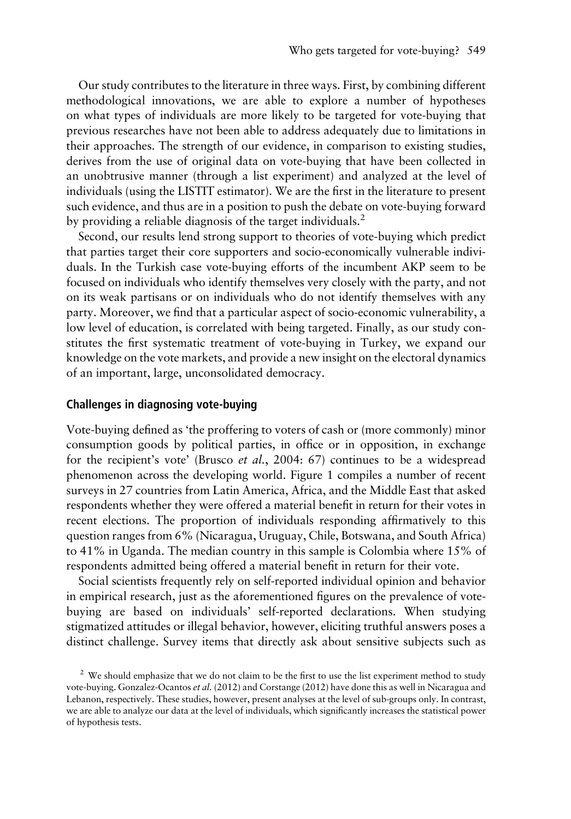Our study contributes to the literature in three ways. First, by combining different methodological innovations, we are able to explore a number of hypotheses on what types of individuals are more likely to be targeted for vote-buying that previous researches have not been able to address adequately due to limitations in their approaches. The strength of our evidence, in comparison to existing studies, derives from the use of original data on vote-buying that have been collected in an unobtrusive manner (through a list experiment) and analyzed at the level of individuals (using the LISTIT estimator). We are the first in the literature to present such evidence, and thus are in a position to push the debate on vote-buying forward by providing a reliable diagnosis of the target individuals.<sup>2</sup>

Second, our results lend strong support to theories of vote-buying which predict that parties target their core supporters and socio-economically vulnerable individuals. In the Turkish case vote-buying efforts of the incumbent AKP seem to be focused on individuals who identify themselves very closely with the party, and not on its weak partisans or on individuals who do not identify themselves with any party. Moreover, we find that a particular aspect of socio-economic vulnerability, a low level of education, is correlated with being targeted. Finally, as our study constitutes the first systematic treatment of vote-buying in Turkey, we expand our knowledge on the vote markets, and provide a new insight on the electoral dynamics of an important, large, unconsolidated democracy.

#### Challenges in diagnosing vote-buying

Vote-buying defined as 'the proffering to voters of cash or (more commonly) minor consumption goods by political parties, in office or in opposition, in exchange for the recipient's vote' (Brusco et al., 2004: 67) continues to be a widespread phenomenon across the developing world. Figure 1 compiles a number of recent surveys in 27 countries from Latin America, Africa, and the Middle East that asked respondents whether they were offered a material benefit in return for their votes in recent elections. The proportion of individuals responding affirmatively to this question ranges from 6% (Nicaragua, Uruguay, Chile, Botswana, and South Africa) to 41% in Uganda. The median country in this sample is Colombia where 15% of respondents admitted being offered a material benefit in return for their vote.

Social scientists frequently rely on self-reported individual opinion and behavior in empirical research, just as the aforementioned figures on the prevalence of votebuying are based on individuals' self-reported declarations. When studying stigmatized attitudes or illegal behavior, however, eliciting truthful answers poses a distinct challenge. Survey items that directly ask about sensitive subjects such as

 $2$  We should emphasize that we do not claim to be the first to use the list experiment method to study vote-buying. Gonzalez-Ocantos et al. (2012) and Corstange (2012) have done this as well in Nicaragua and Lebanon, respectively. These studies, however, present analyses at the level of sub-groups only. In contrast, we are able to analyze our data at the level of individuals, which significantly increases the statistical power of hypothesis tests.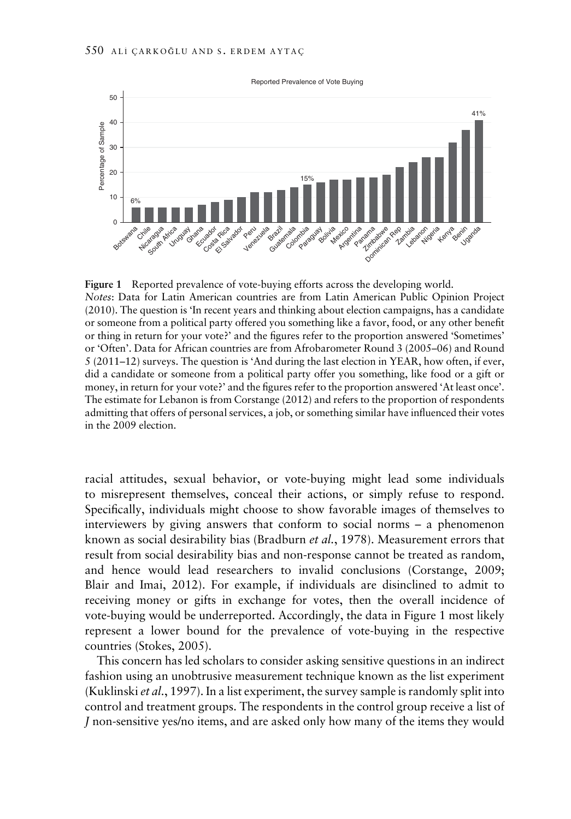

Figure 1 Reported prevalence of vote-buying efforts across the developing world. Notes: Data for Latin American countries are from Latin American Public Opinion Project (2010). The question is 'In recent years and thinking about election campaigns, has a candidate or someone from a political party offered you something like a favor, food, or any other benefit or thing in return for your vote?' and the figures refer to the proportion answered 'Sometimes' or 'Often'. Data for African countries are from Afrobarometer Round 3 (2005–06) and Round 5 (2011–12) surveys. The question is 'And during the last election in YEAR, how often, if ever, did a candidate or someone from a political party offer you something, like food or a gift or money, in return for your vote?' and the figures refer to the proportion answered 'At least once'. The estimate for Lebanon is from Corstange (2012) and refers to the proportion of respondents admitting that offers of personal services, a job, or something similar have influenced their votes in the 2009 election.

racial attitudes, sexual behavior, or vote-buying might lead some individuals to misrepresent themselves, conceal their actions, or simply refuse to respond. Specifically, individuals might choose to show favorable images of themselves to interviewers by giving answers that conform to social norms – a phenomenon known as social desirability bias (Bradburn et al., 1978). Measurement errors that result from social desirability bias and non-response cannot be treated as random, and hence would lead researchers to invalid conclusions (Corstange, 2009; Blair and Imai, 2012). For example, if individuals are disinclined to admit to receiving money or gifts in exchange for votes, then the overall incidence of vote-buying would be underreported. Accordingly, the data in Figure 1 most likely represent a lower bound for the prevalence of vote-buying in the respective countries (Stokes, 2005).

This concern has led scholars to consider asking sensitive questions in an indirect fashion using an unobtrusive measurement technique known as the list experiment (Kuklinski et al., 1997). In a list experiment, the survey sample is randomly split into control and treatment groups. The respondents in the control group receive a list of J non-sensitive yes/no items, and are asked only how many of the items they would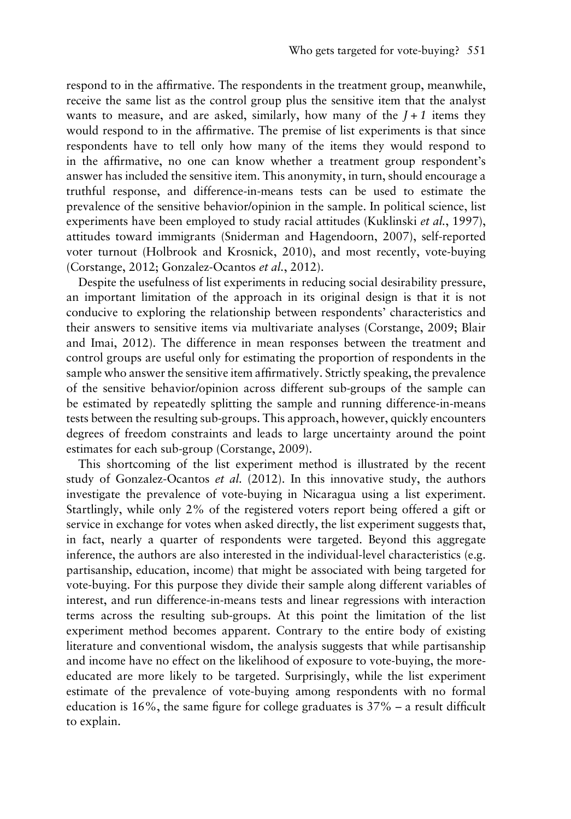respond to in the affirmative. The respondents in the treatment group, meanwhile, receive the same list as the control group plus the sensitive item that the analyst wants to measure, and are asked, similarly, how many of the  $J+1$  items they would respond to in the affirmative. The premise of list experiments is that since respondents have to tell only how many of the items they would respond to in the affirmative, no one can know whether a treatment group respondent's answer has included the sensitive item. This anonymity, in turn, should encourage a truthful response, and difference-in-means tests can be used to estimate the prevalence of the sensitive behavior/opinion in the sample. In political science, list experiments have been employed to study racial attitudes (Kuklinski et al., 1997), attitudes toward immigrants (Sniderman and Hagendoorn, 2007), self-reported voter turnout (Holbrook and Krosnick, 2010), and most recently, vote-buying (Corstange, 2012; Gonzalez-Ocantos et al., 2012).

Despite the usefulness of list experiments in reducing social desirability pressure, an important limitation of the approach in its original design is that it is not conducive to exploring the relationship between respondents' characteristics and their answers to sensitive items via multivariate analyses (Corstange, 2009; Blair and Imai, 2012). The difference in mean responses between the treatment and control groups are useful only for estimating the proportion of respondents in the sample who answer the sensitive item affirmatively. Strictly speaking, the prevalence of the sensitive behavior/opinion across different sub-groups of the sample can be estimated by repeatedly splitting the sample and running difference-in-means tests between the resulting sub-groups. This approach, however, quickly encounters degrees of freedom constraints and leads to large uncertainty around the point estimates for each sub-group (Corstange, 2009).

This shortcoming of the list experiment method is illustrated by the recent study of Gonzalez-Ocantos et al.  $(2012)$ . In this innovative study, the authors investigate the prevalence of vote-buying in Nicaragua using a list experiment. Startlingly, while only 2% of the registered voters report being offered a gift or service in exchange for votes when asked directly, the list experiment suggests that, in fact, nearly a quarter of respondents were targeted. Beyond this aggregate inference, the authors are also interested in the individual-level characteristics (e.g. partisanship, education, income) that might be associated with being targeted for vote-buying. For this purpose they divide their sample along different variables of interest, and run difference-in-means tests and linear regressions with interaction terms across the resulting sub-groups. At this point the limitation of the list experiment method becomes apparent. Contrary to the entire body of existing literature and conventional wisdom, the analysis suggests that while partisanship and income have no effect on the likelihood of exposure to vote-buying, the moreeducated are more likely to be targeted. Surprisingly, while the list experiment estimate of the prevalence of vote-buying among respondents with no formal education is 16%, the same figure for college graduates is  $37\%$  – a result difficult to explain.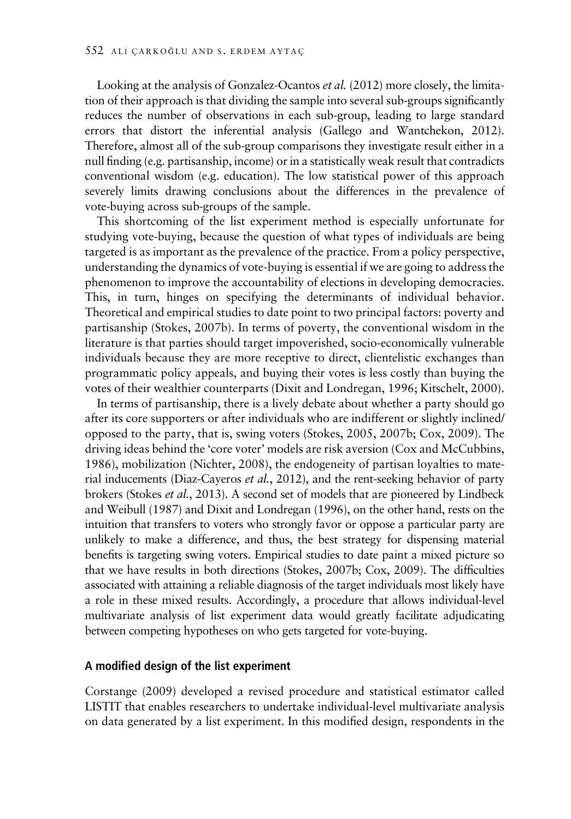Looking at the analysis of Gonzalez-Ocantos et al. (2012) more closely, the limitation of their approach is that dividing the sample into several sub-groups significantly reduces the number of observations in each sub-group, leading to large standard errors that distort the inferential analysis (Gallego and Wantchekon, 2012). Therefore, almost all of the sub-group comparisons they investigate result either in a null finding (e.g. partisanship, income) or in a statistically weak result that contradicts conventional wisdom (e.g. education). The low statistical power of this approach severely limits drawing conclusions about the differences in the prevalence of vote-buying across sub-groups of the sample.

This shortcoming of the list experiment method is especially unfortunate for studying vote-buying, because the question of what types of individuals are being targeted is as important as the prevalence of the practice. From a policy perspective, understanding the dynamics of vote-buying is essential if we are going to address the phenomenon to improve the accountability of elections in developing democracies. This, in turn, hinges on specifying the determinants of individual behavior. Theoretical and empirical studies to date point to two principal factors: poverty and partisanship (Stokes, 2007b). In terms of poverty, the conventional wisdom in the literature is that parties should target impoverished, socio-economically vulnerable individuals because they are more receptive to direct, clientelistic exchanges than programmatic policy appeals, and buying their votes is less costly than buying the votes of their wealthier counterparts (Dixit and Londregan, 1996; Kitschelt, 2000).

In terms of partisanship, there is a lively debate about whether a party should go after its core supporters or after individuals who are indifferent or slightly inclined/ opposed to the party, that is, swing voters (Stokes, 2005, 2007b; Cox, 2009). The driving ideas behind the 'core voter' models are risk aversion (Cox and McCubbins, 1986), mobilization (Nichter, 2008), the endogeneity of partisan loyalties to material inducements (Diaz-Cayeros et al., 2012), and the rent-seeking behavior of party brokers (Stokes et al., 2013). A second set of models that are pioneered by Lindbeck and Weibull (1987) and Dixit and Londregan (1996), on the other hand, rests on the intuition that transfers to voters who strongly favor or oppose a particular party are unlikely to make a difference, and thus, the best strategy for dispensing material benefits is targeting swing voters. Empirical studies to date paint a mixed picture so that we have results in both directions (Stokes, 2007b; Cox, 2009). The difficulties associated with attaining a reliable diagnosis of the target individuals most likely have a role in these mixed results. Accordingly, a procedure that allows individual-level multivariate analysis of list experiment data would greatly facilitate adjudicating between competing hypotheses on who gets targeted for vote-buying.

#### A modified design of the list experiment

Corstange (2009) developed a revised procedure and statistical estimator called LISTIT that enables researchers to undertake individual-level multivariate analysis on data generated by a list experiment. In this modified design, respondents in the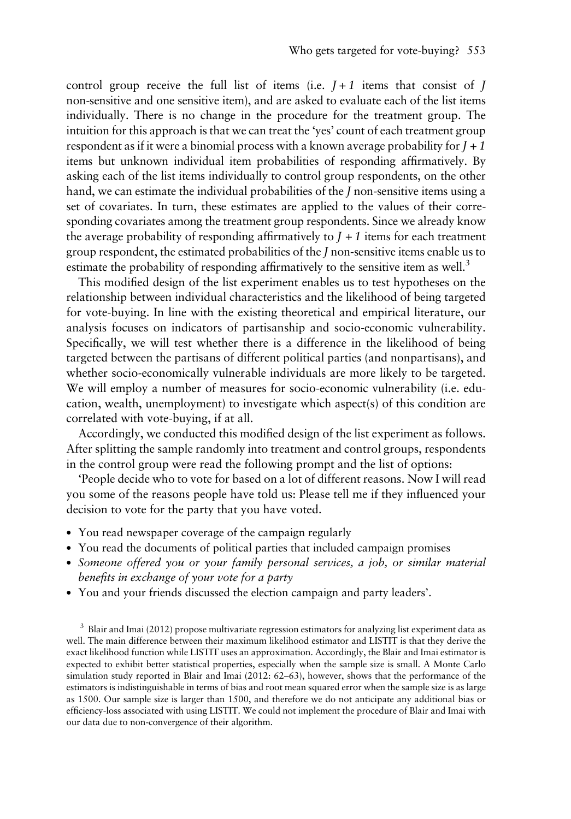control group receive the full list of items (i.e.  $J+1$  items that consist of J non-sensitive and one sensitive item), and are asked to evaluate each of the list items individually. There is no change in the procedure for the treatment group. The intuition for this approach is that we can treat the 'yes' count of each treatment group respondent as if it were a binomial process with a known average probability for  $I + 1$ items but unknown individual item probabilities of responding affirmatively. By asking each of the list items individually to control group respondents, on the other hand, we can estimate the individual probabilities of the J non-sensitive items using a set of covariates. In turn, these estimates are applied to the values of their corresponding covariates among the treatment group respondents. Since we already know the average probability of responding affirmatively to  $J + 1$  items for each treatment group respondent, the estimated probabilities of the J non-sensitive items enable us to estimate the probability of responding affirmatively to the sensitive item as well.<sup>3</sup>

This modified design of the list experiment enables us to test hypotheses on the relationship between individual characteristics and the likelihood of being targeted for vote-buying. In line with the existing theoretical and empirical literature, our analysis focuses on indicators of partisanship and socio-economic vulnerability. Specifically, we will test whether there is a difference in the likelihood of being targeted between the partisans of different political parties (and nonpartisans), and whether socio-economically vulnerable individuals are more likely to be targeted. We will employ a number of measures for socio-economic vulnerability (i.e. education, wealth, unemployment) to investigate which aspect(s) of this condition are correlated with vote-buying, if at all.

Accordingly, we conducted this modified design of the list experiment as follows. After splitting the sample randomly into treatment and control groups, respondents in the control group were read the following prompt and the list of options:

'People decide who to vote for based on a lot of different reasons. Now I will read you some of the reasons people have told us: Please tell me if they influenced your decision to vote for the party that you have voted.

- ∙ You read newspaper coverage of the campaign regularly
- ∙ You read the documents of political parties that included campaign promises
- ∙ Someone offered you or your family personal services, a job, or similar material benefits in exchange of your vote for a party
- ∙ You and your friends discussed the election campaign and party leaders'.

<sup>3</sup> Blair and Imai (2012) propose multivariate regression estimators for analyzing list experiment data as well. The main difference between their maximum likelihood estimator and LISTIT is that they derive the exact likelihood function while LISTIT uses an approximation. Accordingly, the Blair and Imai estimator is expected to exhibit better statistical properties, especially when the sample size is small. A Monte Carlo simulation study reported in Blair and Imai (2012: 62–63), however, shows that the performance of the estimators is indistinguishable in terms of bias and root mean squared error when the sample size is as large as 1500. Our sample size is larger than 1500, and therefore we do not anticipate any additional bias or efficiency-loss associated with using LISTIT. We could not implement the procedure of Blair and Imai with our data due to non-convergence of their algorithm.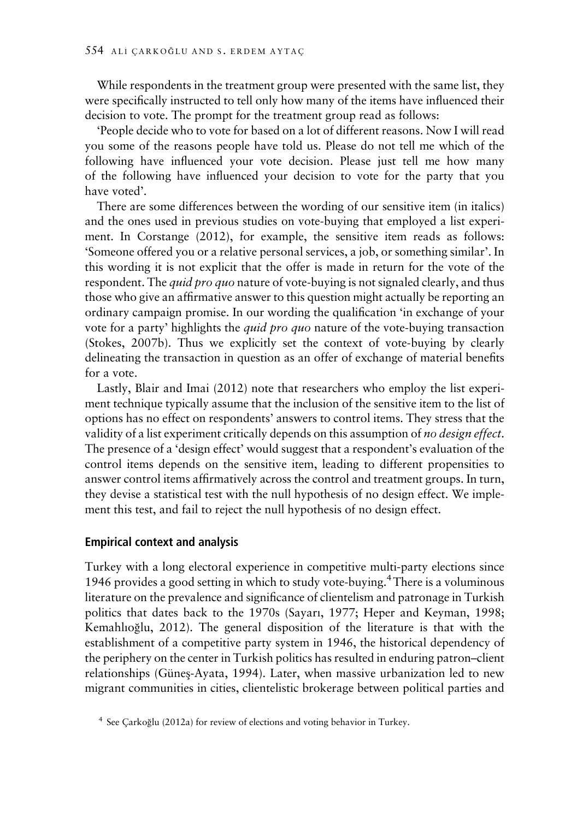While respondents in the treatment group were presented with the same list, they were specifically instructed to tell only how many of the items have influenced their decision to vote. The prompt for the treatment group read as follows:

'People decide who to vote for based on a lot of different reasons. Now I will read you some of the reasons people have told us. Please do not tell me which of the following have influenced your vote decision. Please just tell me how many of the following have influenced your decision to vote for the party that you have voted'.

There are some differences between the wording of our sensitive item (in italics) and the ones used in previous studies on vote-buying that employed a list experiment. In Corstange (2012), for example, the sensitive item reads as follows: 'Someone offered you or a relative personal services, a job, or something similar'. In this wording it is not explicit that the offer is made in return for the vote of the respondent. The *quid pro quo* nature of vote-buying is not signaled clearly, and thus those who give an affirmative answer to this question might actually be reporting an ordinary campaign promise. In our wording the qualification 'in exchange of your vote for a party' highlights the quid pro quo nature of the vote-buying transaction (Stokes, 2007b). Thus we explicitly set the context of vote-buying by clearly delineating the transaction in question as an offer of exchange of material benefits for a vote.

Lastly, Blair and Imai (2012) note that researchers who employ the list experiment technique typically assume that the inclusion of the sensitive item to the list of options has no effect on respondents' answers to control items. They stress that the validity of a list experiment critically depends on this assumption of no design effect. The presence of a 'design effect' would suggest that a respondent's evaluation of the control items depends on the sensitive item, leading to different propensities to answer control items affirmatively across the control and treatment groups. In turn, they devise a statistical test with the null hypothesis of no design effect. We implement this test, and fail to reject the null hypothesis of no design effect.

#### Empirical context and analysis

Turkey with a long electoral experience in competitive multi-party elections since 1946 provides a good setting in which to study vote-buying.<sup>4</sup> There is a voluminous literature on the prevalence and significance of clientelism and patronage in Turkish politics that dates back to the 1970s (Sayarı, 1977; Heper and Keyman, 1998; Kemahlıoğlu, 2012). The general disposition of the literature is that with the establishment of a competitive party system in 1946, the historical dependency of the periphery on the center in Turkish politics has resulted in enduring patron–client relationships (Güneş-Ayata, 1994). Later, when massive urbanization led to new migrant communities in cities, clientelistic brokerage between political parties and

<sup>4</sup> See Çarkoğlu (2012a) for review of elections and voting behavior in Turkey.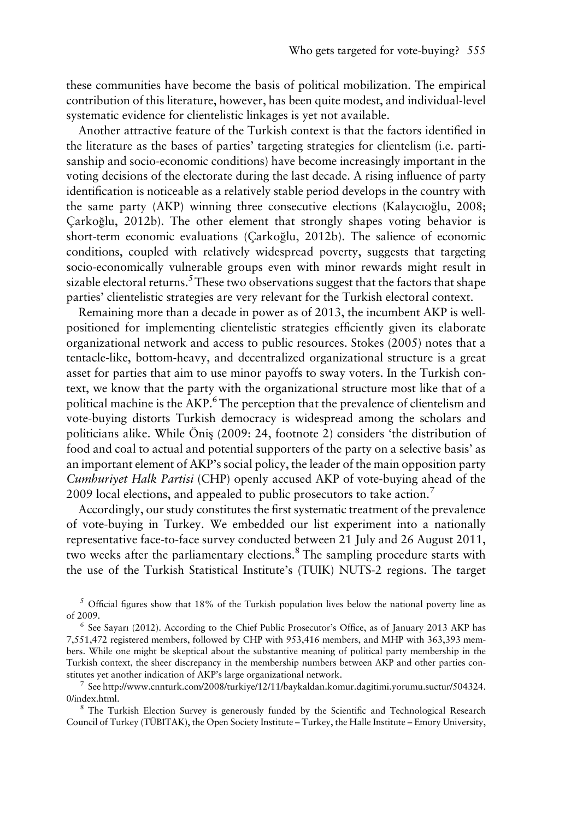these communities have become the basis of political mobilization. The empirical contribution of this literature, however, has been quite modest, and individual-level systematic evidence for clientelistic linkages is yet not available.

Another attractive feature of the Turkish context is that the factors identified in the literature as the bases of parties' targeting strategies for clientelism (i.e. partisanship and socio-economic conditions) have become increasingly important in the voting decisions of the electorate during the last decade. A rising influence of party identification is noticeable as a relatively stable period develops in the country with the same party (AKP) winning three consecutive elections (Kalaycıoğlu, 2008; Çarkoğlu, 2012b). The other element that strongly shapes voting behavior is short-term economic evaluations (Çarkoğlu, 2012b). The salience of economic conditions, coupled with relatively widespread poverty, suggests that targeting socio-economically vulnerable groups even with minor rewards might result in sizable electoral returns.<sup>5</sup>These two observations suggest that the factors that shape parties' clientelistic strategies are very relevant for the Turkish electoral context.

Remaining more than a decade in power as of 2013, the incumbent AKP is wellpositioned for implementing clientelistic strategies efficiently given its elaborate organizational network and access to public resources. Stokes (2005) notes that a tentacle-like, bottom-heavy, and decentralized organizational structure is a great asset for parties that aim to use minor payoffs to sway voters. In the Turkish context, we know that the party with the organizational structure most like that of a political machine is the AKP.<sup>6</sup>The perception that the prevalence of clientelism and vote-buying distorts Turkish democracy is widespread among the scholars and politicians alike. While Öniş (2009: 24, footnote 2) considers 'the distribution of food and coal to actual and potential supporters of the party on a selective basis' as an important element of AKP's social policy, the leader of the main opposition party Cumhuriyet Halk Partisi (CHP) openly accused AKP of vote-buying ahead of the 2009 local elections, and appealed to public prosecutors to take action.<sup>7</sup>

Accordingly, our study constitutes the first systematic treatment of the prevalence of vote-buying in Turkey. We embedded our list experiment into a nationally representative face-to-face survey conducted between 21 July and 26 August 2011, two weeks after the parliamentary elections.<sup>8</sup> The sampling procedure starts with the use of the Turkish Statistical Institute's (TUIK) NUTS-2 regions. The target

<sup>8</sup> The Turkish Election Survey is generously funded by the Scientific and Technological Research Council of Turkey (TÜBITAK), the Open Society Institute - Turkey, the Halle Institute - Emory University,

<sup>5</sup> Official figures show that 18% of the Turkish population lives below the national poverty line as of 2009.

<sup>6</sup> See Sayarı (2012). According to the Chief Public Prosecutor's Office, as of January 2013 AKP has 7,551,472 registered members, followed by CHP with 953,416 members, and MHP with 363,393 members. While one might be skeptical about the substantive meaning of political party membership in the Turkish context, the sheer discrepancy in the membership numbers between AKP and other parties constitutes yet another indication of AKP's large organizational network.

<sup>7</sup> See [http://www.cnnturk.com/2008/turkiye/12/11/baykaldan.komur.dagitimi.yorumu.suctur/504324.](http://www.cnnturk.com/2008/turkiye/12�/�11/baykaldan.komur.dagitimi.yorumu.suctur/504324.0/index.html) [0/index.html.](http://www.cnnturk.com/2008/turkiye/12�/�11/baykaldan.komur.dagitimi.yorumu.suctur/504324.0/index.html)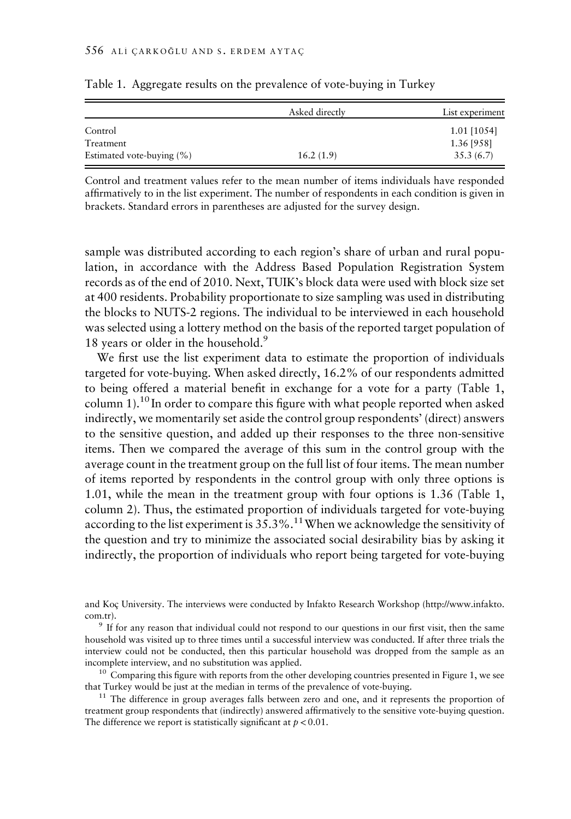|                               | Asked directly | List experiment             |
|-------------------------------|----------------|-----------------------------|
| Control<br>Treatment          |                | $1.01$ [1054]<br>1.36 [958] |
| Estimated vote-buying $(\% )$ | 16.2(1.9)      | 35.3(6.7)                   |

|  |  | Table 1. Aggregate results on the prevalence of vote-buying in Turkey |  |  |  |  |  |  |  |  |
|--|--|-----------------------------------------------------------------------|--|--|--|--|--|--|--|--|
|--|--|-----------------------------------------------------------------------|--|--|--|--|--|--|--|--|

Control and treatment values refer to the mean number of items individuals have responded affirmatively to in the list experiment. The number of respondents in each condition is given in brackets. Standard errors in parentheses are adjusted for the survey design.

sample was distributed according to each region's share of urban and rural population, in accordance with the Address Based Population Registration System records as of the end of 2010. Next, TUIK's block data were used with block size set at 400 residents. Probability proportionate to size sampling was used in distributing the blocks to NUTS-2 regions. The individual to be interviewed in each household was selected using a lottery method on the basis of the reported target population of 18 years or older in the household.<sup>9</sup>

We first use the list experiment data to estimate the proportion of individuals targeted for vote-buying. When asked directly, 16.2% of our respondents admitted to being offered a material benefit in exchange for a vote for a party (Table 1, column 1).<sup>10</sup> In order to compare this figure with what people reported when asked indirectly, we momentarily set aside the control group respondents' (direct) answers to the sensitive question, and added up their responses to the three non-sensitive items. Then we compared the average of this sum in the control group with the average count in the treatment group on the full list of four items. The mean number of items reported by respondents in the control group with only three options is 1.01, while the mean in the treatment group with four options is 1.36 (Table 1, column 2). Thus, the estimated proportion of individuals targeted for vote-buying according to the list experiment is  $35.3\%$ .<sup>11</sup>When we acknowledge the sensitivity of the question and try to minimize the associated social desirability bias by asking it indirectly, the proportion of individuals who report being targeted for vote-buying

and Koç University. The interviews were conducted by Infakto Research Workshop [\(http://www.infakto.](http://www.infakto.com.tr) [com.tr\)](http://www.infakto.com.tr).

<sup>9</sup> If for any reason that individual could not respond to our questions in our first visit, then the same household was visited up to three times until a successful interview was conducted. If after three trials the interview could not be conducted, then this particular household was dropped from the sample as an incomplete interview, and no substitution was applied.

<sup>10</sup> Comparing this figure with reports from the other developing countries presented in Figure 1, we see that Turkey would be just at the median in terms of the prevalence of vote-buying.

<sup>11</sup> The difference in group averages falls between zero and one, and it represents the proportion of treatment group respondents that (indirectly) answered affirmatively to the sensitive vote-buying question. The difference we report is statistically significant at  $p < 0.01$ .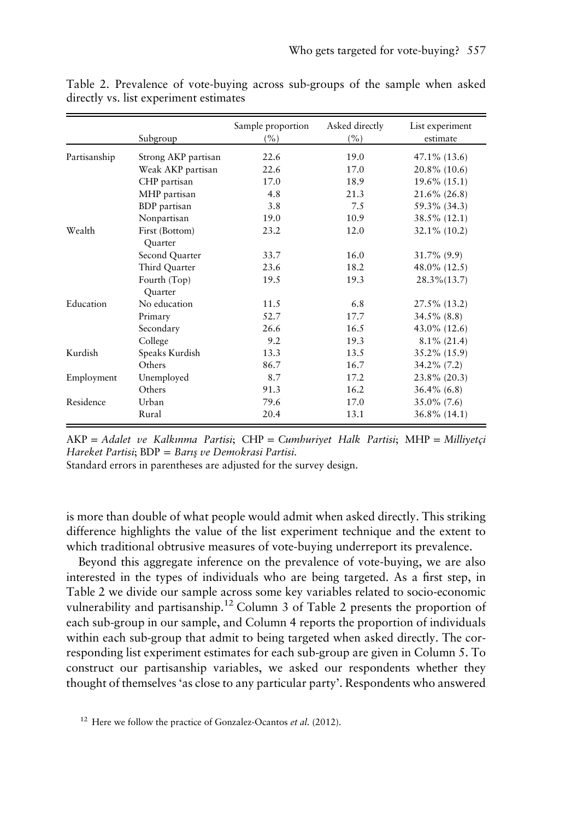|              | Subgroup            | Sample proportion<br>(%) | Asked directly<br>(%) | List experiment<br>estimate |
|--------------|---------------------|--------------------------|-----------------------|-----------------------------|
| Partisanship | Strong AKP partisan | 22.6                     | 19.0                  | $47.1\%$ (13.6)             |
|              | Weak AKP partisan   | 22.6                     | 17.0                  | 20.8% (10.6)                |
|              | CHP partisan        | 17.0                     | 18.9                  | $19.6\%$ (15.1)             |
|              | MHP partisan        | 4.8                      | 21.3                  | $21.6\%$ (26.8)             |
|              | <b>BDP</b> partisan | 3.8                      | 7.5                   | 59.3% (34.3)                |
|              | Nonpartisan         | 19.0                     | 10.9                  | 38.5% (12.1)                |
| Wealth       | First (Bottom)      | 23.2                     | 12.0                  | $32.1\%$ (10.2)             |
|              | Quarter             |                          |                       |                             |
|              | Second Quarter      | 33.7                     | 16.0                  | $31.7\%$ (9.9)              |
|              | Third Quarter       | 23.6                     | 18.2                  | 48.0% (12.5)                |
|              | Fourth (Top)        | 19.5                     | 19.3                  | 28.3% (13.7)                |
|              | Quarter             |                          |                       |                             |
| Education    | No education        | 11.5                     | 6.8                   | $27.5\%$ (13.2)             |
|              | Primary             | 52.7                     | 17.7                  | $34.5\%$ (8.8)              |
|              | Secondary           | 26.6                     | 16.5                  | 43.0% (12.6)                |
|              | College             | 9.2                      | 19.3                  | $8.1\%$ (21.4)              |
| Kurdish      | Speaks Kurdish      | 13.3                     | 13.5                  | 35.2% (15.9)                |
|              | Others              | 86.7                     | 16.7                  | 34.2% (7.2)                 |
| Employment   | Unemployed          | 8.7                      | 17.2                  | 23.8% (20.3)                |
|              | Others              | 91.3                     | 16.2                  | $36.4\%$ (6.8)              |
| Residence    | Urban               | 79.6                     | 17.0                  | $35.0\%$ (7.6)              |
|              | Rural               | 20.4                     | 13.1                  | $36.8\%$ (14.1)             |

Table 2. Prevalence of vote-buying across sub-groups of the sample when asked directly vs. list experiment estimates

 $AKP = Adalet ve Kalkmma Partisi;  $CHP = Cumburiyet Halk Partisi; MHP = Millivetci$$ Hareket Partisi; BDP = Barış ve Demokrasi Partisi.

Standard errors in parentheses are adjusted for the survey design.

is more than double of what people would admit when asked directly. This striking difference highlights the value of the list experiment technique and the extent to which traditional obtrusive measures of vote-buying underreport its prevalence.

Beyond this aggregate inference on the prevalence of vote-buying, we are also interested in the types of individuals who are being targeted. As a first step, in Table 2 we divide our sample across some key variables related to socio-economic vulnerability and partisanship.<sup>12</sup> Column 3 of Table 2 presents the proportion of each sub-group in our sample, and Column 4 reports the proportion of individuals within each sub-group that admit to being targeted when asked directly. The corresponding list experiment estimates for each sub-group are given in Column 5. To construct our partisanship variables, we asked our respondents whether they thought of themselves 'as close to any particular party'. Respondents who answered

<sup>&</sup>lt;sup>12</sup> Here we follow the practice of Gonzalez-Ocantos *et al.* (2012).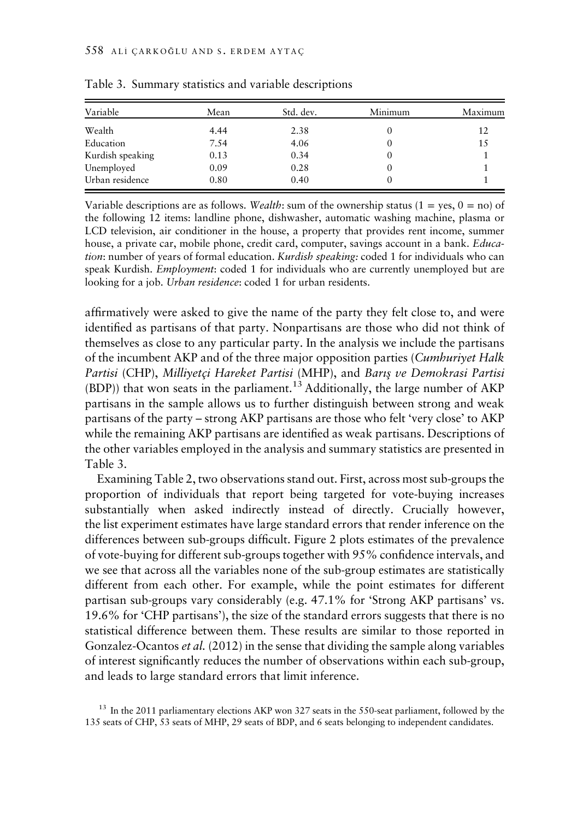| Variable         | Mean | Std. dev. | Minimum | Maximum |
|------------------|------|-----------|---------|---------|
| Wealth           | 4.44 | 2.38      | O       |         |
| Education        | 7.54 | 4.06      | O       |         |
| Kurdish speaking | 0.13 | 0.34      | O       |         |
| Unemployed       | 0.09 | 0.28      | O       |         |
| Urban residence  | 0.80 | 0.40      | O       |         |

Table 3. Summary statistics and variable descriptions

Variable descriptions are as follows. Wealth: sum of the ownership status ( $1 = yes$ ,  $0 = no$ ) of the following 12 items: landline phone, dishwasher, automatic washing machine, plasma or LCD television, air conditioner in the house, a property that provides rent income, summer house, a private car, mobile phone, credit card, computer, savings account in a bank. Education: number of years of formal education. *Kurdish speaking*: coded 1 for individuals who can speak Kurdish. *Employment*: coded 1 for individuals who are currently unemployed but are looking for a job. Urban residence: coded 1 for urban residents.

affirmatively were asked to give the name of the party they felt close to, and were identified as partisans of that party. Nonpartisans are those who did not think of themselves as close to any particular party. In the analysis we include the partisans of the incumbent AKP and of the three major opposition parties (Cumhuriyet Halk Partisi (CHP), Milliyetçi Hareket Partisi (MHP), and Barış ve Demokrasi Partisi  $(BDP)$ ) that won seats in the parliament.<sup>13</sup> Additionally, the large number of AKP partisans in the sample allows us to further distinguish between strong and weak partisans of the party – strong AKP partisans are those who felt 'very close' to AKP while the remaining AKP partisans are identified as weak partisans. Descriptions of the other variables employed in the analysis and summary statistics are presented in Table 3.

Examining Table 2, two observations stand out. First, across most sub-groups the proportion of individuals that report being targeted for vote-buying increases substantially when asked indirectly instead of directly. Crucially however, the list experiment estimates have large standard errors that render inference on the differences between sub-groups difficult. Figure 2 plots estimates of the prevalence of vote-buying for different sub-groups together with 95% confidence intervals, and we see that across all the variables none of the sub-group estimates are statistically different from each other. For example, while the point estimates for different partisan sub-groups vary considerably (e.g. 47.1% for 'Strong AKP partisans' vs. 19.6% for 'CHP partisans'), the size of the standard errors suggests that there is no statistical difference between them. These results are similar to those reported in Gonzalez-Ocantos *et al.* (2012) in the sense that dividing the sample along variables of interest significantly reduces the number of observations within each sub-group, and leads to large standard errors that limit inference.

<sup>&</sup>lt;sup>13</sup> In the 2011 parliamentary elections AKP won 327 seats in the 550-seat parliament, followed by the 135 seats of CHP, 53 seats of MHP, 29 seats of BDP, and 6 seats belonging to independent candidates.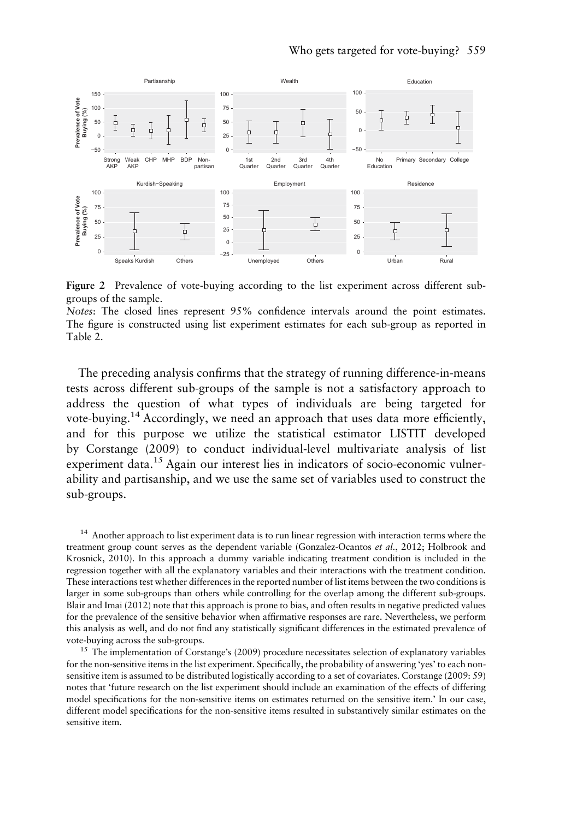

Figure 2 Prevalence of vote-buying according to the list experiment across different subgroups of the sample.

Notes: The closed lines represent 95% confidence intervals around the point estimates. The figure is constructed using list experiment estimates for each sub-group as reported in Table 2.

The preceding analysis confirms that the strategy of running difference-in-means tests across different sub-groups of the sample is not a satisfactory approach to address the question of what types of individuals are being targeted for vote-buying.<sup>14</sup> Accordingly, we need an approach that uses data more efficiently, and for this purpose we utilize the statistical estimator LISTIT developed by Corstange (2009) to conduct individual-level multivariate analysis of list experiment data.<sup>15</sup> Again our interest lies in indicators of socio-economic vulnerability and partisanship, and we use the same set of variables used to construct the sub-groups.

<sup>14</sup> Another approach to list experiment data is to run linear regression with interaction terms where the treatment group count serves as the dependent variable (Gonzalez-Ocantos et al., 2012; Holbrook and Krosnick, 2010). In this approach a dummy variable indicating treatment condition is included in the regression together with all the explanatory variables and their interactions with the treatment condition. These interactions test whether differences in the reported number of list items between the two conditions is larger in some sub-groups than others while controlling for the overlap among the different sub-groups. Blair and Imai (2012) note that this approach is prone to bias, and often results in negative predicted values for the prevalence of the sensitive behavior when affirmative responses are rare. Nevertheless, we perform this analysis as well, and do not find any statistically significant differences in the estimated prevalence of vote-buying across the sub-groups.

<sup>15</sup> The implementation of Corstange's (2009) procedure necessitates selection of explanatory variables for the non-sensitive items in the list experiment. Specifically, the probability of answering 'yes' to each nonsensitive item is assumed to be distributed logistically according to a set of covariates. Corstange (2009: 59) notes that 'future research on the list experiment should include an examination of the effects of differing model specifications for the non-sensitive items on estimates returned on the sensitive item.' In our case, different model specifications for the non-sensitive items resulted in substantively similar estimates on the sensitive item.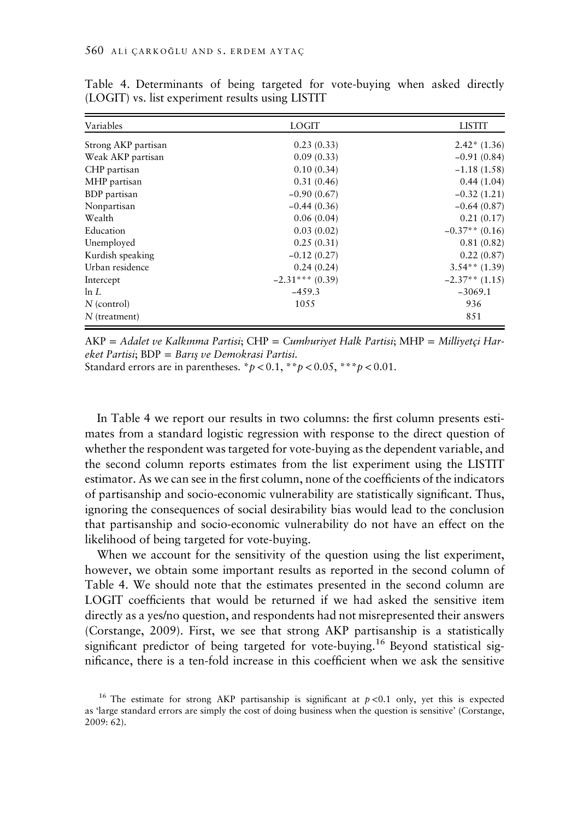| Variables           | <b>LOGIT</b>     | <b>LISTIT</b>    |
|---------------------|------------------|------------------|
| Strong AKP partisan | 0.23(0.33)       | $2.42*(1.36)$    |
| Weak AKP partisan   | 0.09(0.33)       | $-0.91(0.84)$    |
| CHP partisan        | 0.10(0.34)       | $-1.18(1.58)$    |
| MHP partisan        | 0.31(0.46)       | 0.44(1.04)       |
| BDP partisan        | $-0.90(0.67)$    | $-0.32(1.21)$    |
| Nonpartisan         | $-0.44(0.36)$    | $-0.64(0.87)$    |
| Wealth              | 0.06(0.04)       | 0.21(0.17)       |
| Education           | 0.03(0.02)       | $-0.37**$ (0.16) |
| Unemployed          | 0.25(0.31)       | 0.81(0.82)       |
| Kurdish speaking    | $-0.12(0.27)$    | 0.22(0.87)       |
| Urban residence     | 0.24(0.24)       | $3.54**$ (1.39)  |
| Intercept           | $-2.31***(0.39)$ | $-2.37**$ (1.15) |
| ln L                | $-459.3$         | $-3069.1$        |
| $N$ (control)       | 1055             | 936              |
| $N$ (treatment)     |                  | 851              |

Table 4. Determinants of being targeted for vote-buying when asked directly (LOGIT) vs. list experiment results using LISTIT

 $AKP = Adalet ve Kalkınma Partisi; CHP = Cumhuriyet Halk Partisi; MHP = Millivetci Har$ eket Partisi; BDP = Barış ve Demokrasi Partisi.

Standard errors are in parentheses.  $p < 0.1$ ,  $p > 0.05$ ,  $p > 0.01$ .

In Table 4 we report our results in two columns: the first column presents estimates from a standard logistic regression with response to the direct question of whether the respondent was targeted for vote-buying as the dependent variable, and the second column reports estimates from the list experiment using the LISTIT estimator. As we can see in the first column, none of the coefficients of the indicators of partisanship and socio-economic vulnerability are statistically significant. Thus, ignoring the consequences of social desirability bias would lead to the conclusion that partisanship and socio-economic vulnerability do not have an effect on the likelihood of being targeted for vote-buying.

When we account for the sensitivity of the question using the list experiment, however, we obtain some important results as reported in the second column of Table 4. We should note that the estimates presented in the second column are LOGIT coefficients that would be returned if we had asked the sensitive item directly as a yes/no question, and respondents had not misrepresented their answers (Corstange, 2009). First, we see that strong AKP partisanship is a statistically significant predictor of being targeted for vote-buying.<sup>16</sup> Beyond statistical significance, there is a ten-fold increase in this coefficient when we ask the sensitive

<sup>&</sup>lt;sup>16</sup> The estimate for strong AKP partisanship is significant at  $p < 0.1$  only, yet this is expected as 'large standard errors are simply the cost of doing business when the question is sensitive' (Corstange, 2009: 62).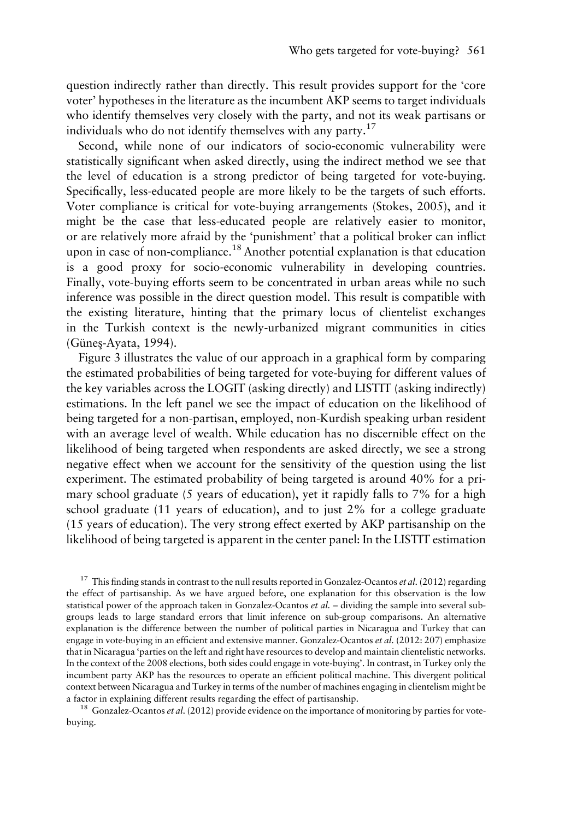question indirectly rather than directly. This result provides support for the 'core voter' hypotheses in the literature as the incumbent AKP seems to target individuals who identify themselves very closely with the party, and not its weak partisans or individuals who do not identify themselves with any party.<sup>17</sup>

Second, while none of our indicators of socio-economic vulnerability were statistically significant when asked directly, using the indirect method we see that the level of education is a strong predictor of being targeted for vote-buying. Specifically, less-educated people are more likely to be the targets of such efforts. Voter compliance is critical for vote-buying arrangements (Stokes, 2005), and it might be the case that less-educated people are relatively easier to monitor, or are relatively more afraid by the 'punishment' that a political broker can inflict upon in case of non-compliance.<sup>18</sup> Another potential explanation is that education is a good proxy for socio-economic vulnerability in developing countries. Finally, vote-buying efforts seem to be concentrated in urban areas while no such inference was possible in the direct question model. This result is compatible with the existing literature, hinting that the primary locus of clientelist exchanges in the Turkish context is the newly-urbanized migrant communities in cities (Güneş-Ayata, 1994).

Figure 3 illustrates the value of our approach in a graphical form by comparing the estimated probabilities of being targeted for vote-buying for different values of the key variables across the LOGIT (asking directly) and LISTIT (asking indirectly) estimations. In the left panel we see the impact of education on the likelihood of being targeted for a non-partisan, employed, non-Kurdish speaking urban resident with an average level of wealth. While education has no discernible effect on the likelihood of being targeted when respondents are asked directly, we see a strong negative effect when we account for the sensitivity of the question using the list experiment. The estimated probability of being targeted is around 40% for a primary school graduate (5 years of education), yet it rapidly falls to 7% for a high school graduate (11 years of education), and to just 2% for a college graduate (15 years of education). The very strong effect exerted by AKP partisanship on the likelihood of being targeted is apparent in the center panel: In the LISTIT estimation

<sup>17</sup> This finding stands in contrast to the null results reported in Gonzalez-Ocantos *et al.* (2012) regarding the effect of partisanship. As we have argued before, one explanation for this observation is the low statistical power of the approach taken in Gonzalez-Ocantos et al. – dividing the sample into several subgroups leads to large standard errors that limit inference on sub-group comparisons. An alternative explanation is the difference between the number of political parties in Nicaragua and Turkey that can engage in vote-buying in an efficient and extensive manner. Gonzalez-Ocantos et al. (2012: 207) emphasize that in Nicaragua 'parties on the left and right have resources to develop and maintain clientelistic networks. In the context of the 2008 elections, both sides could engage in vote-buying'. In contrast, in Turkey only the incumbent party AKP has the resources to operate an efficient political machine. This divergent political context between Nicaragua and Turkey in terms of the number of machines engaging in clientelism might be a factor in explaining different results regarding the effect of partisanship.

<sup>18</sup> Gonzalez-Ocantos et al. (2012) provide evidence on the importance of monitoring by parties for votebuying.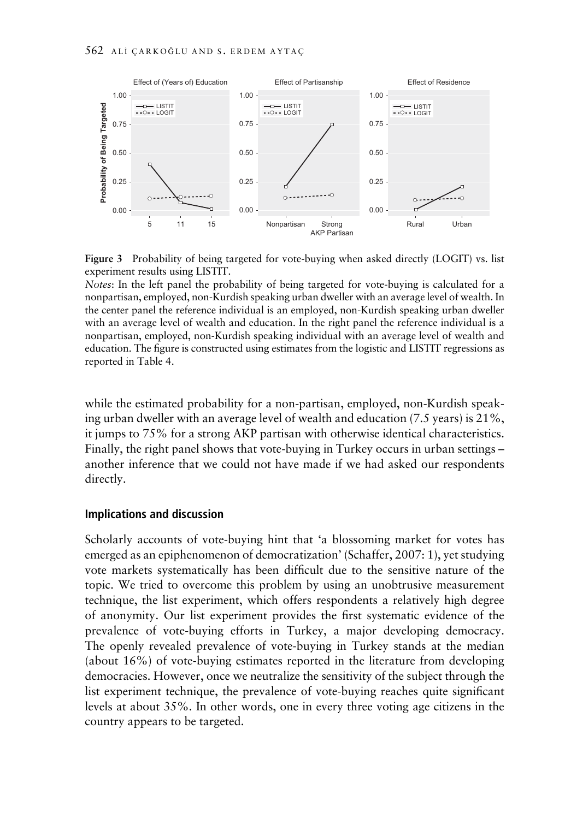

Figure 3 Probability of being targeted for vote-buying when asked directly (LOGIT) vs. list experiment results using LISTIT.

Notes: In the left panel the probability of being targeted for vote-buying is calculated for a nonpartisan, employed, non-Kurdish speaking urban dweller with an average level of wealth. In the center panel the reference individual is an employed, non-Kurdish speaking urban dweller with an average level of wealth and education. In the right panel the reference individual is a nonpartisan, employed, non-Kurdish speaking individual with an average level of wealth and education. The figure is constructed using estimates from the logistic and LISTIT regressions as reported in Table 4.

while the estimated probability for a non-partisan, employed, non-Kurdish speaking urban dweller with an average level of wealth and education (7.5 years) is 21%, it jumps to 75% for a strong AKP partisan with otherwise identical characteristics. Finally, the right panel shows that vote-buying in Turkey occurs in urban settings – another inference that we could not have made if we had asked our respondents directly.

#### Implications and discussion

Scholarly accounts of vote-buying hint that 'a blossoming market for votes has emerged as an epiphenomenon of democratization' (Schaffer, 2007: 1), yet studying vote markets systematically has been difficult due to the sensitive nature of the topic. We tried to overcome this problem by using an unobtrusive measurement technique, the list experiment, which offers respondents a relatively high degree of anonymity. Our list experiment provides the first systematic evidence of the prevalence of vote-buying efforts in Turkey, a major developing democracy. The openly revealed prevalence of vote-buying in Turkey stands at the median (about 16%) of vote-buying estimates reported in the literature from developing democracies. However, once we neutralize the sensitivity of the subject through the list experiment technique, the prevalence of vote-buying reaches quite significant levels at about 35%. In other words, one in every three voting age citizens in the country appears to be targeted.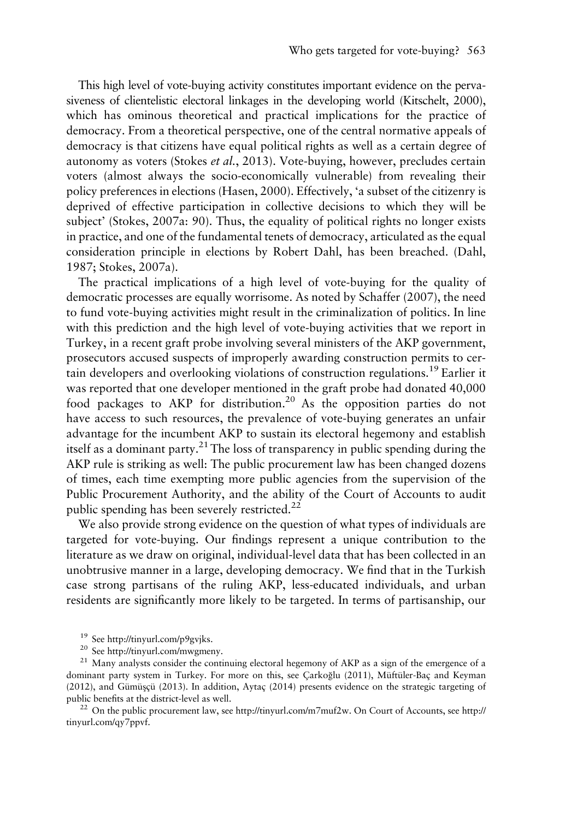This high level of vote-buying activity constitutes important evidence on the pervasiveness of clientelistic electoral linkages in the developing world (Kitschelt, 2000), which has ominous theoretical and practical implications for the practice of democracy. From a theoretical perspective, one of the central normative appeals of democracy is that citizens have equal political rights as well as a certain degree of autonomy as voters (Stokes *et al.*, 2013). Vote-buying, however, precludes certain voters (almost always the socio-economically vulnerable) from revealing their policy preferences in elections (Hasen, 2000). Effectively, 'a subset of the citizenry is deprived of effective participation in collective decisions to which they will be subject' (Stokes, 2007a: 90). Thus, the equality of political rights no longer exists in practice, and one of the fundamental tenets of democracy, articulated as the equal consideration principle in elections by Robert Dahl, has been breached. (Dahl, 1987; Stokes, 2007a).

The practical implications of a high level of vote-buying for the quality of democratic processes are equally worrisome. As noted by Schaffer (2007), the need to fund vote-buying activities might result in the criminalization of politics. In line with this prediction and the high level of vote-buying activities that we report in Turkey, in a recent graft probe involving several ministers of the AKP government, prosecutors accused suspects of improperly awarding construction permits to certain developers and overlooking violations of construction regulations.<sup>19</sup> Earlier it was reported that one developer mentioned in the graft probe had donated 40,000 food packages to AKP for distribution.<sup>20</sup> As the opposition parties do not have access to such resources, the prevalence of vote-buying generates an unfair advantage for the incumbent AKP to sustain its electoral hegemony and establish itself as a dominant party.<sup>21</sup> The loss of transparency in public spending during the AKP rule is striking as well: The public procurement law has been changed dozens of times, each time exempting more public agencies from the supervision of the Public Procurement Authority, and the ability of the Court of Accounts to audit public spending has been severely restricted.<sup>22</sup>

We also provide strong evidence on the question of what types of individuals are targeted for vote-buying. Our findings represent a unique contribution to the literature as we draw on original, individual-level data that has been collected in an unobtrusive manner in a large, developing democracy. We find that in the Turkish case strong partisans of the ruling AKP, less-educated individuals, and urban residents are significantly more likely to be targeted. In terms of partisanship, our

<sup>19</sup> See [http://tinyurl.com/p9gvjks.](http://tinyurl.com/p9gvjks)

<sup>22</sup> On the public procurement law, see<http://tinyurl.com/m7muf2w>. On Court of Accounts, see [http://](http://tinyurl.com/qy7ppvf) [tinyurl.com/qy7ppvf](http://tinyurl.com/qy7ppvf).

<sup>20</sup> See<http://tinyurl.com/mwgmeny>.

<sup>&</sup>lt;sup>21</sup> Many analysts consider the continuing electoral hegemony of AKP as a sign of the emergence of a dominant party system in Turkey. For more on this, see Çarkoğlu (2011), Müftüler-Baç and Keyman (2012), and Gümüşçü (2013). In addition, Aytaç (2014) presents evidence on the strategic targeting of public benefits at the district-level as well.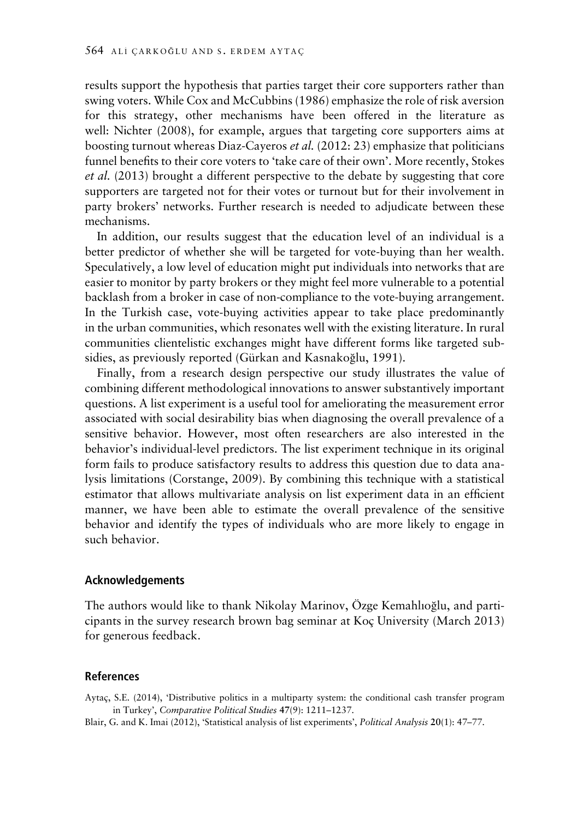results support the hypothesis that parties target their core supporters rather than swing voters. While Cox and McCubbins (1986) emphasize the role of risk aversion for this strategy, other mechanisms have been offered in the literature as well: Nichter (2008), for example, argues that targeting core supporters aims at boosting turnout whereas Diaz-Cayeros et al. (2012: 23) emphasize that politicians funnel benefits to their core voters to 'take care of their own'. More recently, Stokes et al. (2013) brought a different perspective to the debate by suggesting that core supporters are targeted not for their votes or turnout but for their involvement in party brokers' networks. Further research is needed to adjudicate between these mechanisms.

In addition, our results suggest that the education level of an individual is a better predictor of whether she will be targeted for vote-buying than her wealth. Speculatively, a low level of education might put individuals into networks that are easier to monitor by party brokers or they might feel more vulnerable to a potential backlash from a broker in case of non-compliance to the vote-buying arrangement. In the Turkish case, vote-buying activities appear to take place predominantly in the urban communities, which resonates well with the existing literature. In rural communities clientelistic exchanges might have different forms like targeted subsidies, as previously reported (Gürkan and Kasnakoğlu, 1991).

Finally, from a research design perspective our study illustrates the value of combining different methodological innovations to answer substantively important questions. A list experiment is a useful tool for ameliorating the measurement error associated with social desirability bias when diagnosing the overall prevalence of a sensitive behavior. However, most often researchers are also interested in the behavior's individual-level predictors. The list experiment technique in its original form fails to produce satisfactory results to address this question due to data analysis limitations (Corstange, 2009). By combining this technique with a statistical estimator that allows multivariate analysis on list experiment data in an efficient manner, we have been able to estimate the overall prevalence of the sensitive behavior and identify the types of individuals who are more likely to engage in such behavior.

#### Acknowledgements

The authors would like to thank Nikolay Marinov, Özge Kemahlıoğlu, and participants in the survey research brown bag seminar at Koç University (March 2013) for generous feedback.

#### References

Aytaç, S.E. (2014), 'Distributive politics in a multiparty system: the conditional cash transfer program in Turkey', Comparative Political Studies 47(9): 1211–1237.

Blair, G. and K. Imai (2012), 'Statistical analysis of list experiments', Political Analysis 20(1): 47–77.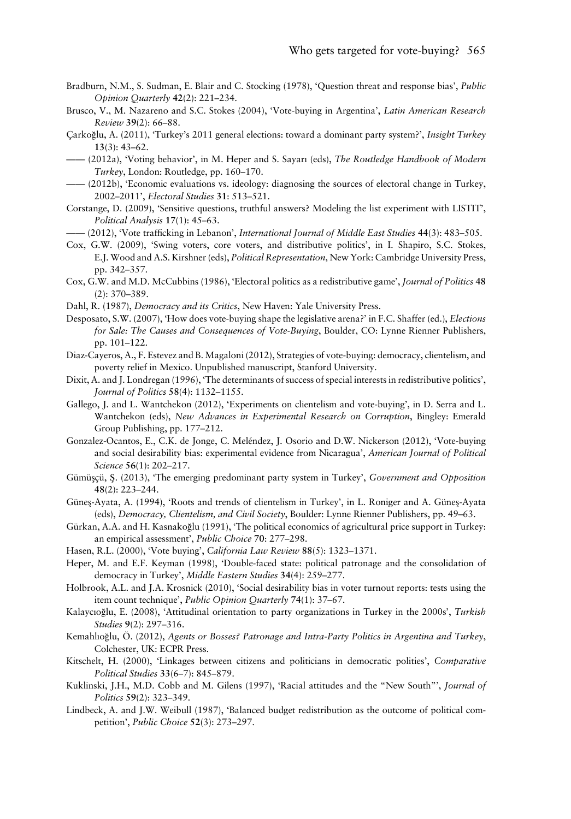- Bradburn, N.M., S. Sudman, E. Blair and C. Stocking (1978), 'Question threat and response bias', Public Opinion Quarterly 42(2): 221–234.
- Brusco, V., M. Nazareno and S.C. Stokes (2004), 'Vote-buying in Argentina', Latin American Research Review 39(2): 66–88.
- Çarkoğlu, A. (2011), 'Turkey's 2011 general elections: toward a dominant party system?', Insight Turkey 13(3): 43–62.
- (2012a), 'Voting behavior', in M. Heper and S. Sayarı (eds), The Routledge Handbook of Modern Turkey, London: Routledge, pp. 160–170.
- $(2012b)$ , 'Economic evaluations vs. ideology: diagnosing the sources of electoral change in Turkey, 2002–2011', Electoral Studies 31: 513–521.
- Corstange, D. (2009), 'Sensitive questions, truthful answers? Modeling the list experiment with LISTIT', Political Analysis 17(1): 45–63.
- (2012), 'Vote trafficking in Lebanon', International Journal of Middle East Studies 44(3): 483–505.
- Cox, G.W. (2009), 'Swing voters, core voters, and distributive politics', in I. Shapiro, S.C. Stokes, E.J. Wood and A.S. Kirshner (eds), Political Representation, New York: Cambridge University Press, pp. 342–357.
- Cox, G.W. and M.D. McCubbins (1986), 'Electoral politics as a redistributive game', Journal of Politics 48 (2): 370–389.
- Dahl, R. (1987), Democracy and its Critics, New Haven: Yale University Press.
- Desposato, S.W. (2007), 'How does vote-buying shape the legislative arena?' in F.C. Shaffer (ed.), Elections for Sale: The Causes and Consequences of Vote-Buying, Boulder, CO: Lynne Rienner Publishers, pp. 101–122.
- Diaz-Cayeros, A., F. Estevez and B. Magaloni (2012), Strategies of vote-buying: democracy, clientelism, and poverty relief in Mexico. Unpublished manuscript, Stanford University.
- Dixit, A. and J. Londregan (1996), 'The determinants of success of special interests in redistributive politics', Journal of Politics 58(4): 1132–1155.
- Gallego, J. and L. Wantchekon (2012), 'Experiments on clientelism and vote-buying', in D. Serra and L. Wantchekon (eds), New Advances in Experimental Research on Corruption, Bingley: Emerald Group Publishing, pp. 177–212.
- Gonzalez-Ocantos, E., C.K. de Jonge, C. Meléndez, J. Osorio and D.W. Nickerson (2012), 'Vote-buying and social desirability bias: experimental evidence from Nicaragua', American Journal of Political Science 56(1): 202–217.
- Gümüşçü, Ş. (2013), 'The emerging predominant party system in Turkey', Government and Opposition 48(2): 223–244.
- Güneş-Ayata, A. (1994), 'Roots and trends of clientelism in Turkey', in L. Roniger and A. Güneş-Ayata (eds), Democracy, Clientelism, and Civil Society, Boulder: Lynne Rienner Publishers, pp. 49–63.
- Gürkan, A.A. and H. Kasnakoğlu (1991), 'The political economics of agricultural price support in Turkey: an empirical assessment', Public Choice 70: 277–298.
- Hasen, R.L. (2000), 'Vote buying', California Law Review 88(5): 1323–1371.
- Heper, M. and E.F. Keyman (1998), 'Double-faced state: political patronage and the consolidation of democracy in Turkey', Middle Eastern Studies 34(4): 259–277.
- Holbrook, A.L. and J.A. Krosnick (2010), 'Social desirability bias in voter turnout reports: tests using the item count technique', Public Opinion Quarterly 74(1): 37–67.
- Kalaycıoğlu, E. (2008), 'Attitudinal orientation to party organizations in Turkey in the 2000s', Turkish Studies 9(2): 297–316.
- Kemahlıoğlu, Ö. (2012), Agents or Bosses? Patronage and Intra-Party Politics in Argentina and Turkey, Colchester, UK: ECPR Press.
- Kitschelt, H. (2000), 'Linkages between citizens and politicians in democratic polities', Comparative Political Studies 33(6–7): 845–879.
- Kuklinski, J.H., M.D. Cobb and M. Gilens (1997), 'Racial attitudes and the "New South"', Journal of Politics 59(2): 323–349.
- Lindbeck, A. and J.W. Weibull (1987), 'Balanced budget redistribution as the outcome of political competition', Public Choice 52(3): 273–297.